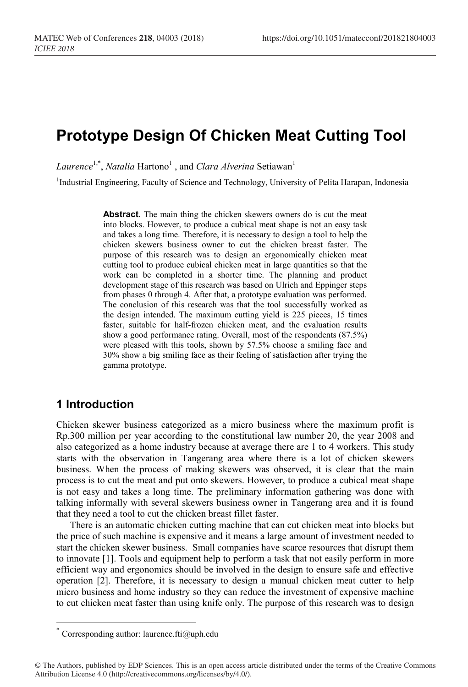# **Prototype Design Of Chicken Meat Cutting Tool**

*Laurence*<sup>1,\*</sup>, *Natalia* Hartono<sup>1</sup>, and *Clara Alverina* Setiawan<sup>1</sup>

<sup>1</sup>Industrial Engineering, Faculty of Science and Technology, University of Pelita Harapan, Indonesia

**Abstract.** The main thing the chicken skewers owners do is cut the meat into blocks. However, to produce a cubical meat shape is not an easy task and takes a long time. Therefore, it is necessary to design a tool to help the chicken skewers business owner to cut the chicken breast faster. The purpose of this research was to design an ergonomically chicken meat cutting tool to produce cubical chicken meat in large quantities so that the work can be completed in a shorter time. The planning and product development stage of this research was based on Ulrich and Eppinger steps from phases 0 through 4. After that, a prototype evaluation was performed. The conclusion of this research was that the tool successfully worked as the design intended. The maximum cutting yield is 225 pieces, 15 times faster, suitable for half-frozen chicken meat, and the evaluation results show a good performance rating. Overall, most of the respondents (87.5%) were pleased with this tools, shown by 57.5% choose a smiling face and 30% show a big smiling face as their feeling of satisfaction after trying the gamma prototype.

# **1 Introduction**

Chicken skewer business categorized as a micro business where the maximum profit is Rp.300 million per year according to the constitutional law number 20, the year 2008 and also categorized as a home industry because at average there are 1 to 4 workers. This study starts with the observation in Tangerang area where there is a lot of chicken skewers business. When the process of making skewers was observed, it is clear that the main process is to cut the meat and put onto skewers. However, to produce a cubical meat shape is not easy and takes a long time. The preliminary information gathering was done with talking informally with several skewers business owner in Tangerang area and it is found that they need a tool to cut the chicken breast fillet faster.

There is an automatic chicken cutting machine that can cut chicken meat into blocks but the price of such machine is expensive and it means a large amount of investment needed to start the chicken skewer business. Small companies have scarce resources that disrupt them to innovate [1]. Tools and equipment help to perform a task that not easily perform in more efficient way and ergonomics should be involved in the design to ensure safe and effective operation [2]. Therefore, it is necessary to design a manual chicken meat cutter to help micro business and home industry so they can reduce the investment of expensive machine to cut chicken meat faster than using knife only. The purpose of this research was to design

 <sup>\*</sup> Corresponding author: laurence.fti@uph.edu

<sup>©</sup> The Authors, published by EDP Sciences. This is an open access article distributed under the terms of the Creative Commons Attribution License 4.0 (http://creativecommons.org/licenses/by/4.0/).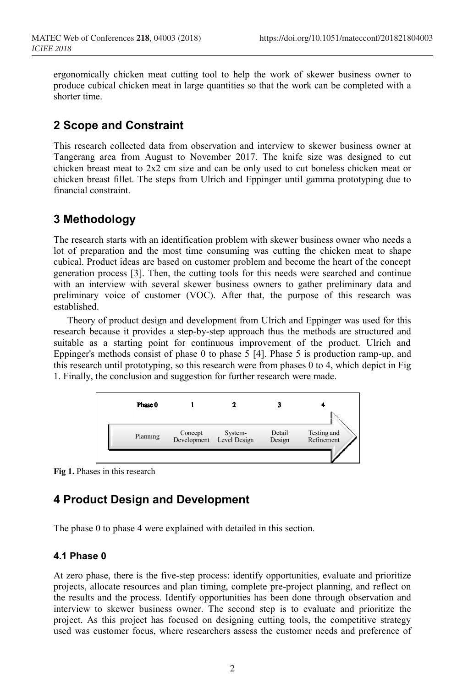ergonomically chicken meat cutting tool to help the work of skewer business owner to produce cubical chicken meat in large quantities so that the work can be completed with a shorter time.

## **2 Scope and Constraint**

This research collected data from observation and interview to skewer business owner at Tangerang area from August to November 2017. The knife size was designed to cut chicken breast meat to 2x2 cm size and can be only used to cut boneless chicken meat or chicken breast fillet. The steps from Ulrich and Eppinger until gamma prototyping due to financial constraint.

## **3 Methodology**

The research starts with an identification problem with skewer business owner who needs a lot of preparation and the most time consuming was cutting the chicken meat to shape cubical. Product ideas are based on customer problem and become the heart of the concept generation process [3]. Then, the cutting tools for this needs were searched and continue with an interview with several skewer business owners to gather preliminary data and preliminary voice of customer (VOC). After that, the purpose of this research was established.

Theory of product design and development from Ulrich and Eppinger was used for this research because it provides a step-by-step approach thus the methods are structured and suitable as a starting point for continuous improvement of the product. Ulrich and Eppinger's methods consist of phase 0 to phase 5 [4]. Phase 5 is production ramp-up, and this research until prototyping, so this research were from phases 0 to 4, which depict in Fig 1. Finally, the conclusion and suggestion for further research were made.



**Fig 1.** Phases in this research

## **4 Product Design and Development**

The phase 0 to phase 4 were explained with detailed in this section.

#### **4.1 Phase 0**

At zero phase, there is the five-step process: identify opportunities, evaluate and prioritize projects, allocate resources and plan timing, complete pre-project planning, and reflect on the results and the process. Identify opportunities has been done through observation and interview to skewer business owner. The second step is to evaluate and prioritize the project. As this project has focused on designing cutting tools, the competitive strategy used was customer focus, where researchers assess the customer needs and preference of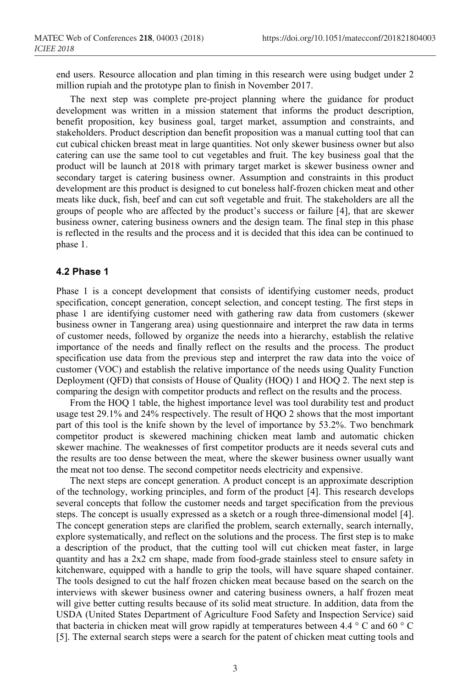end users. Resource allocation and plan timing in this research were using budget under 2 million rupiah and the prototype plan to finish in November 2017.

The next step was complete pre-project planning where the guidance for product development was written in a mission statement that informs the product description, benefit proposition, key business goal, target market, assumption and constraints, and stakeholders. Product description dan benefit proposition was a manual cutting tool that can cut cubical chicken breast meat in large quantities. Not only skewer business owner but also catering can use the same tool to cut vegetables and fruit. The key business goal that the product will be launch at 2018 with primary target market is skewer business owner and secondary target is catering business owner. Assumption and constraints in this product development are this product is designed to cut boneless half-frozen chicken meat and other meats like duck, fish, beef and can cut soft vegetable and fruit. The stakeholders are all the groups of people who are affected by the product's success or failure [4], that are skewer business owner, catering business owners and the design team. The final step in this phase is reflected in the results and the process and it is decided that this idea can be continued to phase 1.

#### **4.2 Phase 1**

Phase 1 is a concept development that consists of identifying customer needs, product specification, concept generation, concept selection, and concept testing. The first steps in phase 1 are identifying customer need with gathering raw data from customers (skewer business owner in Tangerang area) using questionnaire and interpret the raw data in terms of customer needs, followed by organize the needs into a hierarchy, establish the relative importance of the needs and finally reflect on the results and the process. The product specification use data from the previous step and interpret the raw data into the voice of customer (VOC) and establish the relative importance of the needs using Quality Function Deployment (QFD) that consists of House of Quality (HOQ) 1 and HOQ 2. The next step is comparing the design with competitor products and reflect on the results and the process.

From the HOQ 1 table, the highest importance level was tool durability test and product usage test 29.1% and 24% respectively. The result of HQO 2 shows that the most important part of this tool is the knife shown by the level of importance by 53.2%. Two benchmark competitor product is skewered machining chicken meat lamb and automatic chicken skewer machine. The weaknesses of first competitor products are it needs several cuts and the results are too dense between the meat, where the skewer business owner usually want the meat not too dense. The second competitor needs electricity and expensive.

The next steps are concept generation. A product concept is an approximate description of the technology, working principles, and form of the product [4]. This research develops several concepts that follow the customer needs and target specification from the previous steps. The concept is usually expressed as a sketch or a rough three-dimensional model [4]. The concept generation steps are clarified the problem, search externally, search internally, explore systematically, and reflect on the solutions and the process. The first step is to make a description of the product, that the cutting tool will cut chicken meat faster, in large quantity and has a 2x2 cm shape, made from food-grade stainless steel to ensure safety in kitchenware, equipped with a handle to grip the tools, will have square shaped container. The tools designed to cut the half frozen chicken meat because based on the search on the interviews with skewer business owner and catering business owners, a half frozen meat will give better cutting results because of its solid meat structure. In addition, data from the USDA (United States Department of Agriculture Food Safety and Inspection Service) said that bacteria in chicken meat will grow rapidly at temperatures between 4.4 ° C and 60 ° C [5]. The external search steps were a search for the patent of chicken meat cutting tools and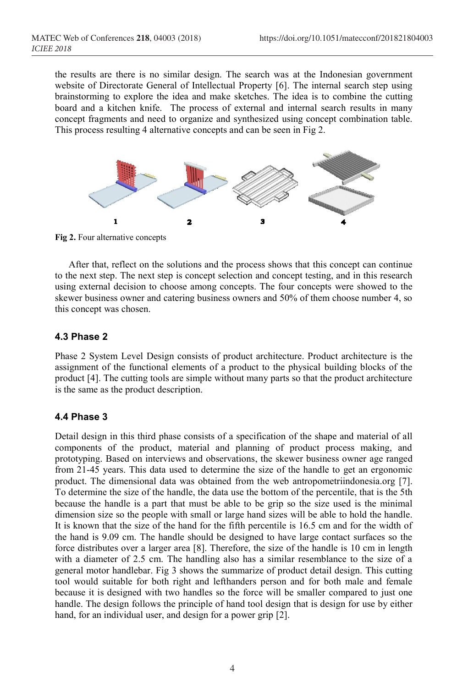the results are there is no similar design. The search was at the Indonesian government website of Directorate General of Intellectual Property [6]. The internal search step using brainstorming to explore the idea and make sketches. The idea is to combine the cutting board and a kitchen knife. The process of external and internal search results in many concept fragments and need to organize and synthesized using concept combination table. This process resulting 4 alternative concepts and can be seen in Fig 2.



**Fig 2.** Four alternative concepts

After that, reflect on the solutions and the process shows that this concept can continue to the next step. The next step is concept selection and concept testing, and in this research using external decision to choose among concepts. The four concepts were showed to the skewer business owner and catering business owners and 50% of them choose number 4, so this concept was chosen.

### **4.3 Phase 2**

Phase 2 System Level Design consists of product architecture. Product architecture is the assignment of the functional elements of a product to the physical building blocks of the product [4]. The cutting tools are simple without many parts so that the product architecture is the same as the product description.

#### **4.4 Phase 3**

Detail design in this third phase consists of a specification of the shape and material of all components of the product, material and planning of product process making, and prototyping. Based on interviews and observations, the skewer business owner age ranged from 21-45 years. This data used to determine the size of the handle to get an ergonomic product. The dimensional data was obtained from the web antropometriindonesia.org [7]. To determine the size of the handle, the data use the bottom of the percentile, that is the 5th because the handle is a part that must be able to be grip so the size used is the minimal dimension size so the people with small or large hand sizes will be able to hold the handle. It is known that the size of the hand for the fifth percentile is 16.5 cm and for the width of the hand is 9.09 cm. The handle should be designed to have large contact surfaces so the force distributes over a larger area [8]. Therefore, the size of the handle is 10 cm in length with a diameter of 2.5 cm. The handling also has a similar resemblance to the size of a general motor handlebar. Fig 3 shows the summarize of product detail design. This cutting tool would suitable for both right and lefthanders person and for both male and female because it is designed with two handles so the force will be smaller compared to just one handle. The design follows the principle of hand tool design that is design for use by either hand, for an individual user, and design for a power grip [2].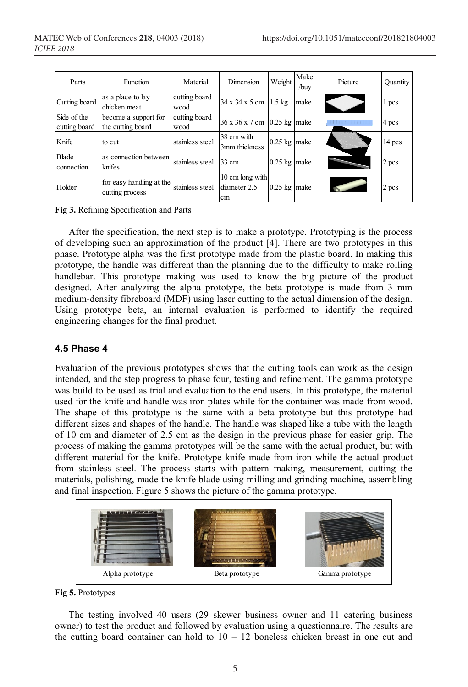| Parts                        | <b>Function</b>                             | Material              | Dimension                             | Weight         | Make<br>/buy | Picture     | Quantity |
|------------------------------|---------------------------------------------|-----------------------|---------------------------------------|----------------|--------------|-------------|----------|
| Cutting board                | as a place to lay<br>chicken meat           | cutting board<br>wood | 34 x 34 x 5 cm 1.5 kg                 |                | make         |             | 1 pcs    |
| Side of the<br>cutting board | become a support for<br>the cutting board   | cutting board<br>wood | 36 x 36 x 7 cm 0.25 kg make           |                |              | <b>1111</b> | 4 pcs    |
| Knife                        | to cut                                      | stainless steel       | 38 cm with<br>3mm thickness           | $0.25$ kg make |              |             | 14 pcs   |
| <b>Blade</b><br>connection   | as connection between<br>knifes             | stainless steel       | 33 cm                                 | $0.25$ kg make |              |             | 2 pcs    |
| Holder                       | for easy handling at the<br>cutting process | stainless steel       | 10 cm long with<br>diameter 2.5<br>cm | $0.25$ kg make |              |             | 2 pcs    |

**Fig 3.** Refining Specification and Parts

After the specification, the next step is to make a prototype. Prototyping is the process of developing such an approximation of the product [4]. There are two prototypes in this phase. Prototype alpha was the first prototype made from the plastic board. In making this prototype, the handle was different than the planning due to the difficulty to make rolling handlebar. This prototype making was used to know the big picture of the product designed. After analyzing the alpha prototype, the beta prototype is made from 3 mm medium-density fibreboard (MDF) using laser cutting to the actual dimension of the design. Using prototype beta, an internal evaluation is performed to identify the required engineering changes for the final product.

#### **4.5 Phase 4**

Evaluation of the previous prototypes shows that the cutting tools can work as the design intended, and the step progress to phase four, testing and refinement. The gamma prototype was build to be used as trial and evaluation to the end users. In this prototype, the material used for the knife and handle was iron plates while for the container was made from wood. The shape of this prototype is the same with a beta prototype but this prototype had different sizes and shapes of the handle. The handle was shaped like a tube with the length of 10 cm and diameter of 2.5 cm as the design in the previous phase for easier grip. The process of making the gamma prototypes will be the same with the actual product, but with different material for the knife. Prototype knife made from iron while the actual product from stainless steel. The process starts with pattern making, measurement, cutting the materials, polishing, made the knife blade using milling and grinding machine, assembling and final inspection. Figure 5 shows the picture of the gamma prototype.





The testing involved 40 users (29 skewer business owner and 11 catering business owner) to test the product and followed by evaluation using a questionnaire. The results are the cutting board container can hold to  $10 - 12$  boneless chicken breast in one cut and